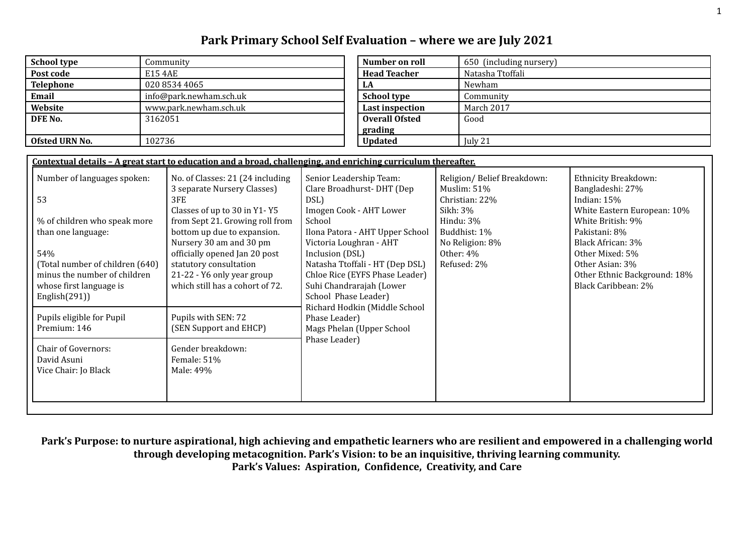# **Park Primary School Self Evaluation – where we are July 2021**

| <b>School type</b> | Community               | Number on roll         | 650 (including nursery) |
|--------------------|-------------------------|------------------------|-------------------------|
| Post code          | E15 4AE                 | <b>Head Teacher</b>    | Natasha Ttoffali        |
| <b>Telephone</b>   | 020 8534 4065           | LA                     | Newham                  |
| Email              | info@park.newham.sch.uk | <b>School type</b>     | Community               |
| Website            | www.park.newham.sch.uk  | <b>Last inspection</b> | March 2017              |
| DFE No.            | 3162051                 | <b>Overall Ofsted</b>  | Good                    |
|                    |                         | grading                |                         |
| Ofsted URN No.     | 102736                  | <b>Updated</b>         | July 21                 |

| Number on roll         | 650 (including nursery) |
|------------------------|-------------------------|
| <b>Head Teacher</b>    | Natasha Ttoffali        |
| LA                     | Newham                  |
| <b>School type</b>     | Community               |
| <b>Last inspection</b> | March 2017              |
| <b>Overall Ofsted</b>  | Good                    |
| grading                |                         |
| <b>Updated</b>         | July 21                 |

| Religion/Belief Breakdown:<br>Ethnicity Breakdown:<br>Number of languages spoken:<br>No. of Classes: 21 (24 including<br>Senior Leadership Team:<br>3 separate Nursery Classes)<br>Clare Broadhurst-DHT (Dep<br>Bangladeshi: 27%<br>Muslim: 51%<br>53<br>Indian: $15%$<br>3FE<br>Christian: 22%<br>DSL)<br>Imogen Cook - AHT Lower<br>Classes of up to 30 in Y1-Y5<br>Sikh: 3%<br>School<br>White British: 9%<br>% of children who speak more<br>from Sept 21. Growing roll from<br>Hindu: 3%<br>bottom up due to expansion.<br>Ilona Patora - AHT Upper School<br>Buddhist: 1%<br>than one language:<br>Pakistani: 8%<br>Black African: 3%<br>Nursery 30 am and 30 pm<br>Victoria Loughran - AHT<br>No Religion: 8%<br>54%<br>officially opened Jan 20 post<br>Inclusion (DSL)<br>Other: 4%<br>Other Mixed: 5%<br>statutory consultation<br>Natasha Ttoffali - HT (Dep DSL)<br>Refused: 2%<br>(Total number of children (640)<br>Other Asian: 3%<br>21-22 - Y6 only year group<br>Chloe Rice (EYFS Phase Leader)<br>minus the number of children<br>which still has a cohort of 72.<br>Suhi Chandrarajah (Lower<br>Black Caribbean: 2%<br>whose first language is<br>School Phase Leader)<br>English $(291)$<br>Richard Hodkin (Middle School<br>Pupils eligible for Pupil<br>Pupils with SEN: 72<br>Phase Leader) |              | Contextual details - A great start to education and a broad, challenging, and enriching curriculum thereafter. |                           |                                                             |
|---------------------------------------------------------------------------------------------------------------------------------------------------------------------------------------------------------------------------------------------------------------------------------------------------------------------------------------------------------------------------------------------------------------------------------------------------------------------------------------------------------------------------------------------------------------------------------------------------------------------------------------------------------------------------------------------------------------------------------------------------------------------------------------------------------------------------------------------------------------------------------------------------------------------------------------------------------------------------------------------------------------------------------------------------------------------------------------------------------------------------------------------------------------------------------------------------------------------------------------------------------------------------------------------------------------------|--------------|----------------------------------------------------------------------------------------------------------------|---------------------------|-------------------------------------------------------------|
|                                                                                                                                                                                                                                                                                                                                                                                                                                                                                                                                                                                                                                                                                                                                                                                                                                                                                                                                                                                                                                                                                                                                                                                                                                                                                                                     |              |                                                                                                                |                           | White Eastern European: 10%<br>Other Ethnic Background: 18% |
|                                                                                                                                                                                                                                                                                                                                                                                                                                                                                                                                                                                                                                                                                                                                                                                                                                                                                                                                                                                                                                                                                                                                                                                                                                                                                                                     | Premium: 146 | (SEN Support and EHCP)                                                                                         | Mags Phelan (Upper School |                                                             |
| Phase Leader)<br>Gender breakdown:<br><b>Chair of Governors:</b><br>David Asuni<br>Female: 51%<br>Vice Chair: Jo Black<br>Male: 49%                                                                                                                                                                                                                                                                                                                                                                                                                                                                                                                                                                                                                                                                                                                                                                                                                                                                                                                                                                                                                                                                                                                                                                                 |              |                                                                                                                |                           |                                                             |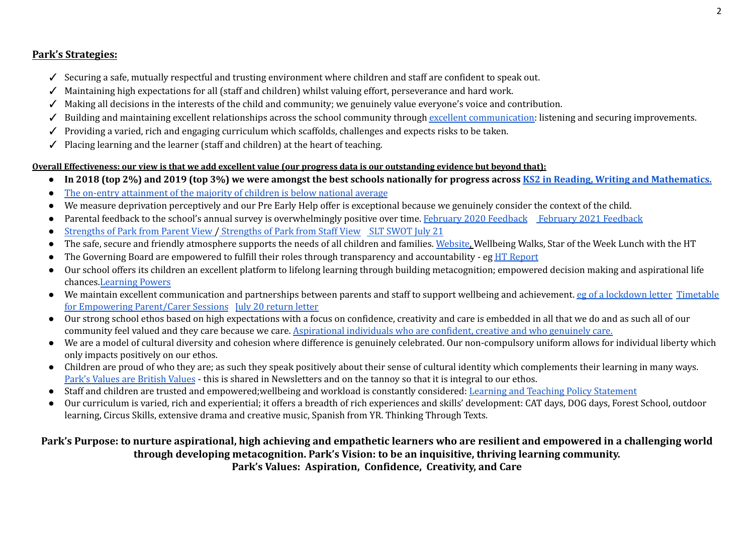## **Park's Strategies:**

- ✓ Securing a safe, mutually respectful and trusting environment where children and staff are confident to speak out.
- ✓ Maintaining high expectations for all (staff and children) whilst valuing effort, perseverance and hard work.
- ✓ Making all decisions in the interests of the child and community; we genuinely value everyone's voice and contribution.
- ✓ Building and maintaining excellent relationships across the school community through excellent [communication:](https://drive.google.com/file/d/1wzWm9Zfk1ytQ9kyuHEKqzT8vb8qtVboz/view?usp=sharing) listening and securing improvements.
- ✓ Providing a varied, rich and engaging curriculum which scaffolds, challenges and expects risks to be taken.
- ✓ Placing learning and the learner (staff and children) at the heart of teaching.

### Overall Effectiveness: our view is that we add excellent value (our progress data is our outstanding evidence but beyond that):

- In 2018 (top 2%) and 2019 (top 3%) we were amongst the best schools nationally for progress across KS2 in Reading, Writing and [Mathematics.](https://drive.google.com/file/d/1kMzaaaNjrxoTLlINj2tVf38XH0wK_19h/view?usp=sharing)
- The on-entry [attainment](https://drive.google.com/file/d/1Vj5BBXY-cWfIIpc5TUvBBrp1YwdKizBO/view?usp=sharing) of the majority of children is below national average
- We measure deprivation perceptively and our Pre Early Help offer is exceptional because we genuinely consider the context of the child.
- Parental feedback to the school's annual survey is overwhelmingly positive over time. February 2020 [Feedback](https://drive.google.com/file/d/1AqcS9WjjV5MRb-RoVDFKe8oQUvFM7mhj/view?usp=sharing) February 2021 Feedback
- [Strengths](https://drive.google.com/file/d/17AXcqAgCJR-O6OiHVHu5xy4xwRkmsXaV/view?usp=sharing) of Park from Parent View / Strengths of Park from Staff View SLT [SWOT](https://drive.google.com/file/d/10EFKRIf2mskBMoTgrk1Z-GeEajA4AG4x/view?usp=sharing) July 21
- The safe, secure and friendly atmosphere supports the needs of all children and families. [Website](https://park.newham.sch.uk/), Wellbeing Walks, Star of the Week Lunch with the HT
- The Governing Board are empowered to fulfill their roles through transparency and accountability eg HT [Report](https://drive.google.com/file/d/1eC2wD6spgXz4tmjNDNho2fArrt12Yrqn/view?usp=sharing)
- Our school offers its children an excellent platform to lifelong learning through building metacognition; empowered decision making and aspirational life chances.[Learning](https://docs.google.com/document/d/1y031HQIu6DM_EJOB4yQxpW3cOeSQ01D2ujiHJvVdvzo/edit?usp=sharing) Powers
- We maintain excellent communication and partnerships between parents and staff to support wellbeing and achievement. eg of a [lockdown](https://drive.google.com/file/d/17Ddwn42cWT5UbsU_021CxQlNX38Nrfve/view?usp=sharing) letter [Timetable](https://drive.google.com/file/d/1APhBcWCV_7EqGamK0_a82iPtmwi_CEmf/view?usp=sharing) for Empowering [Parent/Carer](https://drive.google.com/file/d/1APhBcWCV_7EqGamK0_a82iPtmwi_CEmf/view?usp=sharing) Sessions July 20 [return](https://drive.google.com/file/d/1cuqnLGI0Vbgzs8SSfWTfrc6ZQPRs-WV9/view?usp=sharing) letter
- Our strong school ethos based on high expectations with a focus on confidence, creativity and care is embedded in all that we do and as such all of our community feel valued and they care because we care. [Aspirational](https://drive.google.com/file/d/0BwWtUTVnl2SkaG94bkdZNVd0VjA/view?usp=sharing) individuals who are confident, creative and who genuinely care.
- We are a model of cultural diversity and cohesion where difference is genuinely celebrated. Our non-compulsory uniform allows for individual liberty which only impacts positively on our ethos.
- Children are proud of who they are; as such they speak positively about their sense of cultural identity which complements their learning in many ways. Park's Values are [British](https://drive.google.com/file/d/1ElvzFo2Kxrp92Vzkpx8lObqKFjTs4u2d/view?usp=sharing) Values - this is shared in Newsletters and on the tannoy so that it is integral to our ethos.
- Staff and children are trusted and empowered;wellbeing and workload is constantly considered: Learning and Teaching Policy [Statement](https://drive.google.com/file/d/1F5CfFOiqUZC8OQI9obcFRv05jZiNQSBf/view?usp=sharing)
- Our curriculum is varied, rich and experiential; it offers a breadth of rich experiences and skills' development: CAT days, DOG days, Forest School, outdoor learning, Circus Skills, extensive drama and creative music, Spanish from YR. Thinking Through Texts.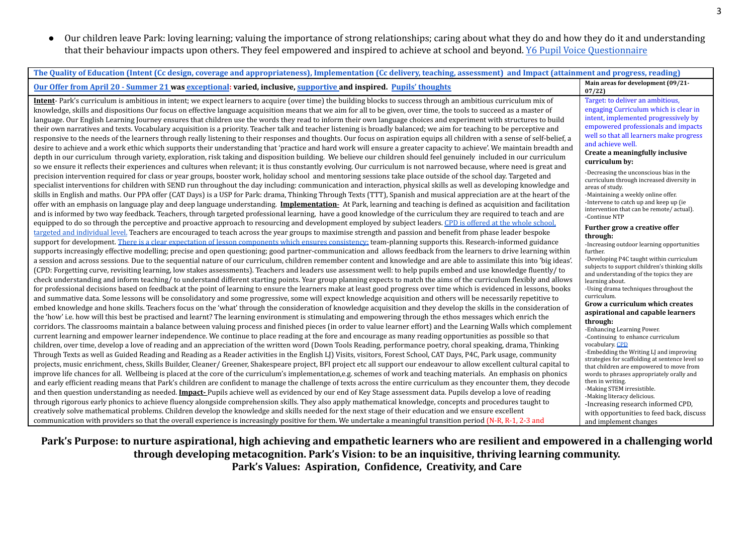● Our children leave Park: loving learning; valuing the importance of strong relationships; caring about what they do and how they do it and understanding that their behaviour impacts upon others. They feel empowered and inspired to achieve at school and beyond. Y6 Pupil Voice [Questionnaire](https://docs.google.com/document/d/1wig9Z8YoOB1FDiA1VvPa4xkPnjOl16hIs0KAZqqvLqQ/edit)

| The Quality of Education (Intent (Cc design, coverage and appropriateness), Implementation (Cc delivery, teaching, assessment) and Impact (attainment and progress, reading)                                                                                                                                                                                                                                                                                                                                                                                                                                                                                                                                                                                                                                                                                                                                                                                                                                                                                                                                                                                                                                                                                                                                                                                                                                                                                                                                                                                                                                                                                                                                                                                                                                                                                                                                                                                                                                                                                                                                                                                                                                                                                                                                                                                                                                                                                                                                                                                                                                                                                                                                                                                                                                                                                                                                                                                                                                                                                                                                                                                                                                                                                                                                                                                                                                                                                                                                                                                                                                                                                                                                                                                                                                                                                                                                                                                                                                                                                                                                                                                                                                                                                                                                                                                                                                                                                                                                                                                                                                                                                                                                                                                                                                                                                                                                                                                                                                                                                                                                                                                                                                                                                                                                                                                                                                                                                                                                                                                                                                                                                                                                                                                                                                                                                                                                                                                                                                                                        |                                                                                                                                                                                                                                                                                                                                                                                                                                                                                                                                                                                                                                                                                                                                                                                                                                                                                                                                                                                                                                                                                                                                                                                                                                                                                                                                                                                                                                   |
|-----------------------------------------------------------------------------------------------------------------------------------------------------------------------------------------------------------------------------------------------------------------------------------------------------------------------------------------------------------------------------------------------------------------------------------------------------------------------------------------------------------------------------------------------------------------------------------------------------------------------------------------------------------------------------------------------------------------------------------------------------------------------------------------------------------------------------------------------------------------------------------------------------------------------------------------------------------------------------------------------------------------------------------------------------------------------------------------------------------------------------------------------------------------------------------------------------------------------------------------------------------------------------------------------------------------------------------------------------------------------------------------------------------------------------------------------------------------------------------------------------------------------------------------------------------------------------------------------------------------------------------------------------------------------------------------------------------------------------------------------------------------------------------------------------------------------------------------------------------------------------------------------------------------------------------------------------------------------------------------------------------------------------------------------------------------------------------------------------------------------------------------------------------------------------------------------------------------------------------------------------------------------------------------------------------------------------------------------------------------------------------------------------------------------------------------------------------------------------------------------------------------------------------------------------------------------------------------------------------------------------------------------------------------------------------------------------------------------------------------------------------------------------------------------------------------------------------------------------------------------------------------------------------------------------------------------------------------------------------------------------------------------------------------------------------------------------------------------------------------------------------------------------------------------------------------------------------------------------------------------------------------------------------------------------------------------------------------------------------------------------------------------------------------------------------------------------------------------------------------------------------------------------------------------------------------------------------------------------------------------------------------------------------------------------------------------------------------------------------------------------------------------------------------------------------------------------------------------------------------------------------------------------------------------------------------------------------------------------------------------------------------------------------------------------------------------------------------------------------------------------------------------------------------------------------------------------------------------------------------------------------------------------------------------------------------------------------------------------------------------------------------------------------------------------------------------------------------------------------------------------------------------------------------------------------------------------------------------------------------------------------------------------------------------------------------------------------------------------------------------------------------------------------------------------------------------------------------------------------------------------------------------------------------------------------------------------------------------------------------------------------------------------------------------------------------------------------------------------------------------------------------------------------------------------------------------------------------------------------------------------------------------------------------------------------------------------------------------------------------------------------------------------------------------------------------------------------------------------------------------------------------------------------------------------------------------------------------------------------------------------------------------------------------------------------------------------------------------------------------------------------------------------------------------------------------------------------------------------------------------------------------------------------------------------------------------------------------------------------------------------------------------------------------------------|-----------------------------------------------------------------------------------------------------------------------------------------------------------------------------------------------------------------------------------------------------------------------------------------------------------------------------------------------------------------------------------------------------------------------------------------------------------------------------------------------------------------------------------------------------------------------------------------------------------------------------------------------------------------------------------------------------------------------------------------------------------------------------------------------------------------------------------------------------------------------------------------------------------------------------------------------------------------------------------------------------------------------------------------------------------------------------------------------------------------------------------------------------------------------------------------------------------------------------------------------------------------------------------------------------------------------------------------------------------------------------------------------------------------------------------|
| Our Offer from April 20 - Summer 21 was exceptional: varied, inclusive, supportive and inspired. Pupils' thoughts                                                                                                                                                                                                                                                                                                                                                                                                                                                                                                                                                                                                                                                                                                                                                                                                                                                                                                                                                                                                                                                                                                                                                                                                                                                                                                                                                                                                                                                                                                                                                                                                                                                                                                                                                                                                                                                                                                                                                                                                                                                                                                                                                                                                                                                                                                                                                                                                                                                                                                                                                                                                                                                                                                                                                                                                                                                                                                                                                                                                                                                                                                                                                                                                                                                                                                                                                                                                                                                                                                                                                                                                                                                                                                                                                                                                                                                                                                                                                                                                                                                                                                                                                                                                                                                                                                                                                                                                                                                                                                                                                                                                                                                                                                                                                                                                                                                                                                                                                                                                                                                                                                                                                                                                                                                                                                                                                                                                                                                                                                                                                                                                                                                                                                                                                                                                                                                                                                                                   | Main areas for development (09/21-<br>07/22                                                                                                                                                                                                                                                                                                                                                                                                                                                                                                                                                                                                                                                                                                                                                                                                                                                                                                                                                                                                                                                                                                                                                                                                                                                                                                                                                                                       |
| Intent-Park's curriculum is ambitious in intent; we expect learners to acquire (over time) the building blocks to success through an ambitious curriculum mix of<br>knowledge, skills and dispositions Our focus on effective language acquisition means that we aim for all to be given, over time, the tools to succeed as a master of<br>language. Our English Learning Journey ensures that children use the words they read to inform their own language choices and experiment with structures to build<br>their own narratives and texts. Vocabulary acquisition is a priority. Teacher talk and teacher listening is broadly balanced; we aim for teaching to be perceptive and<br>responsive to the needs of the learners through really listening to their responses and thoughts. Our focus on aspiration equips all children with a sense of self-belief, a<br>desire to achieve and a work ethic which supports their understanding that 'practice and hard work will ensure a greater capacity to achieve'. We maintain breadth and<br>depth in our curriculum through variety, exploration, risk taking and disposition building. We believe our children should feel genuinely included in our curriculum<br>so we ensure it reflects their experiences and cultures when relevant; it is thus constantly evolving. Our curriculum is not narrowed because, where need is great and<br>precision intervention required for class or year groups, booster work, holiday school and mentoring sessions take place outside of the school day. Targeted and<br>specialist interventions for children with SEND run throughout the day including: communication and interaction, physical skills as well as developing knowledge and<br>skills in English and maths. Our PPA offer (CAT Days) is a USP for Park: drama, Thinking Through Texts (TTT), Spanish and musical appreciation are at the heart of the<br>offer with an emphasis on language play and deep language understanding. Implementation- At Park, learning and teaching is defined as acquisition and facilitation<br>and is informed by two way feedback. Teachers, through targeted professional learning, have a good knowledge of the curriculum they are required to teach and are<br>equipped to do so through the perceptive and proactive approach to resourcing and development employed by subject leaders. CPD is offered at the whole school.<br>targeted and individual level. Teachers are encouraged to teach across the year groups to maximise strength and passion and benefit from phase leader bespoke<br>support for development. There is a clear expectation of lesson components which ensures consistency team-planning supports this. Research-informed guidance<br>supports increasingly effective modelling; precise and open questioning; good partner-communication and allows feedback from the learners to drive learning within<br>a session and across sessions. Due to the sequential nature of our curriculum, children remember content and knowledge and are able to assimilate this into 'big ideas'.<br>(CPD: Forgetting curve, revisiting learning, low stakes assessments). Teachers and leaders use assessment well: to help pupils embed and use knowledge fluently/to<br>check understanding and inform teaching/ to understand different starting points. Year group planning expects to match the aims of the curriculum flexibly and allows<br>for professional decisions based on feedback at the point of learning to ensure the learners make at least good progress over time which is evidenced in lessons, books<br>and summative data. Some lessons will be consolidatory and some progressive, some will expect knowledge acquisition and others will be necessarily repetitive to<br>embed knowledge and hone skills. Teachers focus on the 'what' through the consideration of knowledge acquisition and they develop the skills in the consideration of<br>the 'how' i.e. how will this best be practised and learnt? The learning environment is stimulating and empowering through the ethos messages which enrich the<br>corridors. The classrooms maintain a balance between valuing process and finished pieces (in order to value learner effort) and the Learning Walls which complement<br>current learning and empower learner independence. We continue to place reading at the fore and encourage as many reading opportunities as possible so that<br>children, over time, develop a love of reading and an appreciation of the written word (Down Tools Reading, performance poetry, choral speaking, drama, Thinking<br>Through Texts as well as Guided Reading and Reading as a Reader activities in the English LJ) Visits, visitors, Forest School, CAT Days, P4C, Park usage, community<br>projects, music enrichment, chess, Skills Builder, Cleaner/ Greener, Shakespeare project, BFI project etc all support our endeavour to allow excellent cultural capital to<br>improve life chances for all. Wellbeing is placed at the core of the curriculum's implementation,e.g. schemes of work and teaching materials. An emphasis on phonics<br>and early efficient reading means that Park's children are confident to manage the challenge of texts across the entire curriculum as they encounter them, they decode<br>and then question understanding as needed. <b>Impact-</b> Pupils achieve well as evidenced by our end of Key Stage assessment data. Pupils develop a love of reading<br>through rigorous early phonics to achieve fluency alongside comprehension skills. They also apply mathematical knowledge, concepts and procedures taught to<br>creatively solve mathematical problems. Children develop the knowledge and skills needed for the next stage of their education and we ensure excellent<br>communication with providers so that the overall experience is increasingly positive for them. We undertake a meaningful transition period (N-R, R-1, 2-3 and | Target: to deliver an ambitious,<br>engaging Curriculum which is clear in<br>intent, implemented progressively by<br>empowered professionals and impacts<br>well so that all learners make progress<br>and achieve well.<br>Create a meaningfully inclusive<br>curriculum by:<br>-Decreasing the unconscious bias in the<br>curriculum through increased diversity in<br>areas of study.<br>-Maintaining a weekly online offer.<br>-Intervene to catch up and keep up (ie)<br>intervention that can be remote/actual).<br>-Continue NTP<br>Further grow a creative offer<br>through:<br>-Increasing outdoor learning opportunities<br>further.<br>-Developing P4C taught within curriculum<br>subjects to support children's thinking skills<br>and understanding of the topics they are<br>learning about.<br>-Using drama techniques throughout the<br>curriculum.<br>Grow a curriculum which creates<br>aspirational and capable learners<br>through:<br>-Enhancing Learning Power.<br>-Continuing to enhance curriculum<br>vocabulary. CPD<br>-Embedding the Writing LJ and improving<br>strategies for scaffolding at sentence level so<br>that children are empowered to move from<br>words to phrases appropriately orally and<br>then in writing.<br>-Making STEM irresistible.<br>-Making literacy delicious.<br>-Increasing research informed CPD,<br>with opportunities to feed back, discuss<br>and implement changes |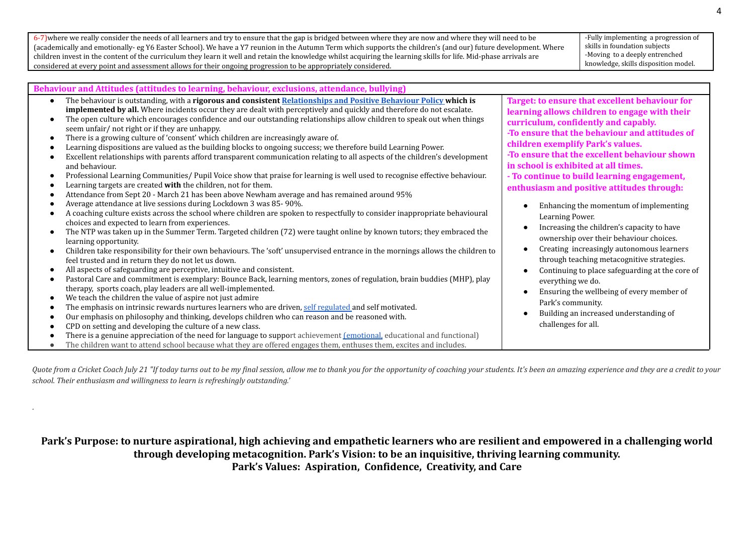6-7)where we really consider the needs of all learners and try to ensure that the gap is bridged between where they are now and where they will need to be (academically and emotionally- eg Y6 Easter School). We have a Y7 reunion in the Autumn Term which supports the children's (and our) future development. Where children invest in the content of the curriculum they learn it well and retain the knowledge whilst acquiring the learning skills for life. Mid-phase arrivals are considered at every point and assessment allows for their ongoing progression to be appropriately considered.

"

-Fully implementing a progression of skills in foundation subjects -Moving to a deeply entrenched knowledge, skills disposition model.

*Quote from a Cricket Coach July 21 "If today turns out to be my final session, allow me to thank you for the opportunity of coaching your students. It's been an amazing experience and they are a credit to your school. Their enthusiasm and willingness to learn is refreshingly outstanding.'*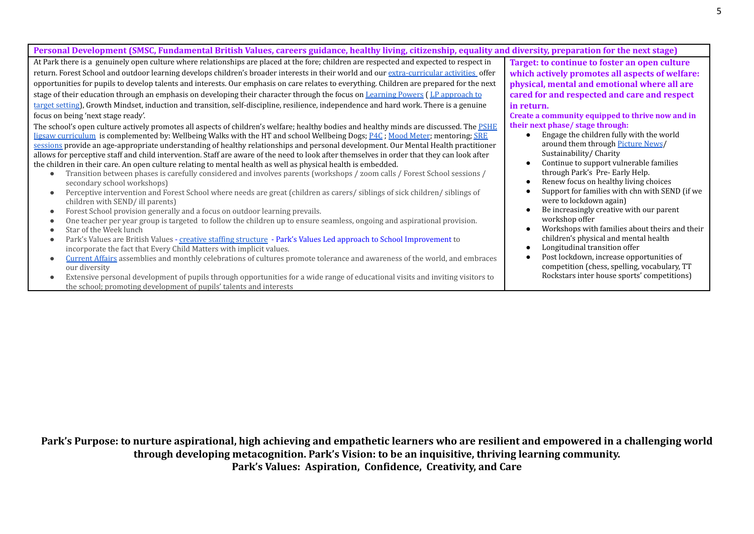| Personal Development (SMSC, Fundamental British Values, careers guidance, healthy living, citizenship, equality and diversity, preparation for the next stage) |                                                  |
|----------------------------------------------------------------------------------------------------------------------------------------------------------------|--------------------------------------------------|
| At Park there is a genuinely open culture where relationships are placed at the fore; children are respected and expected to respect in                        | Target: to continue to foster an open culture    |
| return. Forest School and outdoor learning develops children's broader interests in their world and our extra-curricular activities offer                      | which actively promotes all aspects of welfare:  |
| opportunities for pupils to develop talents and interests. Our emphasis on care relates to everything. Children are prepared for the next                      | physical, mental and emotional where all are     |
| stage of their education through an emphasis on developing their character through the focus on Learning Powers (LP approach to                                | cared for and respected and care and respect     |
| target setting), Growth Mindset, induction and transition, self-discipline, resilience, independence and hard work. There is a genuine                         | in return.                                       |
| focus on being 'next stage ready'.                                                                                                                             | Create a community equipped to thrive now and in |
| The school's open culture actively promotes all aspects of children's welfare; healthy bodies and healthy minds are discussed. The PSHE                        | their next phase/stage through:                  |
| <u>Iigsaw curriculum</u> is complemented by: Wellbeing Walks with the HT and school Wellbeing Dogs; P4C; Mood Meter; mentoring; SRE                            | Engage the children fully with the world         |
| sessions provide an age-appropriate understanding of healthy relationships and personal development. Our Mental Health practitioner                            | around them through Picture News/                |
| allows for perceptive staff and child intervention. Staff are aware of the need to look after themselves in order that they can look after                     | Sustainability/Charity                           |
| the children in their care. An open culture relating to mental health as well as physical health is embedded.                                                  | Continue to support vulnerable families          |
| Transition between phases is carefully considered and involves parents (workshops / zoom calls / Forest School sessions /                                      | through Park's Pre-Early Help.                   |
| secondary school workshops)                                                                                                                                    | Renew focus on healthy living choices            |
| Perceptive intervention and Forest School where needs are great (children as carers/siblings of sick children/siblings of<br>$\bullet$                         | Support for families with chn with SEND (if we   |
| children with SEND/ ill parents)                                                                                                                               | were to lockdown again)                          |
| Forest School provision generally and a focus on outdoor learning prevails.<br>$\bullet$                                                                       | Be increasingly creative with our parent         |
| One teacher per year group is targeted to follow the children up to ensure seamless, ongoing and aspirational provision.                                       | workshop offer                                   |
| Star of the Week lunch                                                                                                                                         | Workshops with families about theirs and their   |
| Park's Values are British Values - creative staffing structure - Park's Values Led approach to School Improvement to<br>$\bullet$                              | children's physical and mental health            |
| incorporate the fact that Every Child Matters with implicit values.                                                                                            | Longitudinal transition offer                    |
| Current Affairs assemblies and monthly celebrations of cultures promote tolerance and awareness of the world, and embraces                                     | Post lockdown, increase opportunities of         |

- our diversity
- Extensive personal development of pupils through opportunities for a wide range of educational visits and inviting visitors to the school; promoting development of pupils' talents and interests

**Park's Purpose: to nurture aspirational, high achieving and empathetic learners who are resilient and empowered in a challenging world through developing metacognition. Park's Vision: to be an inquisitive, thriving learning community. Park's Values: Aspiration, Confidence, Creativity, and Care**

competition (chess, spelling, vocabulary, TT Rockstars inter house sports' competitions)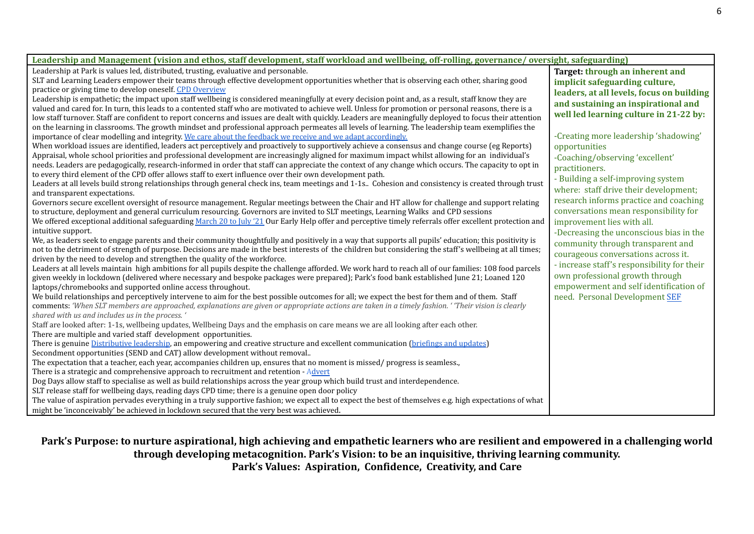| Leadership and Management (vision and ethos, staff development, staff workload and wellbeing, off-rolling, governance/oversight, safeguarding)<br>Leadership at Park is values led, distributed, trusting, evaluative and personable.<br>Target: through an inherent and<br>SLT and Learning Leaders empower their teams through effective development opportunities whether that is observing each other, sharing good<br>implicit safeguarding culture,<br>practice or giving time to develop oneself. CPD Overview<br>leaders, at all levels, focus on building<br>Leadership is empathetic; the impact upon staff wellbeing is considered meaningfully at every decision point and, as a result, staff know they are<br>and sustaining an inspirational and<br>valued and cared for. In turn, this leads to a contented staff who are motivated to achieve well. Unless for promotion or personal reasons, there is a<br>well led learning culture in 21-22 by:<br>low staff turnover. Staff are confident to report concerns and issues are dealt with quickly. Leaders are meaningfully deployed to focus their attention |
|---------------------------------------------------------------------------------------------------------------------------------------------------------------------------------------------------------------------------------------------------------------------------------------------------------------------------------------------------------------------------------------------------------------------------------------------------------------------------------------------------------------------------------------------------------------------------------------------------------------------------------------------------------------------------------------------------------------------------------------------------------------------------------------------------------------------------------------------------------------------------------------------------------------------------------------------------------------------------------------------------------------------------------------------------------------------------------------------------------------------------------|
|                                                                                                                                                                                                                                                                                                                                                                                                                                                                                                                                                                                                                                                                                                                                                                                                                                                                                                                                                                                                                                                                                                                                 |
|                                                                                                                                                                                                                                                                                                                                                                                                                                                                                                                                                                                                                                                                                                                                                                                                                                                                                                                                                                                                                                                                                                                                 |
|                                                                                                                                                                                                                                                                                                                                                                                                                                                                                                                                                                                                                                                                                                                                                                                                                                                                                                                                                                                                                                                                                                                                 |
|                                                                                                                                                                                                                                                                                                                                                                                                                                                                                                                                                                                                                                                                                                                                                                                                                                                                                                                                                                                                                                                                                                                                 |
|                                                                                                                                                                                                                                                                                                                                                                                                                                                                                                                                                                                                                                                                                                                                                                                                                                                                                                                                                                                                                                                                                                                                 |
|                                                                                                                                                                                                                                                                                                                                                                                                                                                                                                                                                                                                                                                                                                                                                                                                                                                                                                                                                                                                                                                                                                                                 |
|                                                                                                                                                                                                                                                                                                                                                                                                                                                                                                                                                                                                                                                                                                                                                                                                                                                                                                                                                                                                                                                                                                                                 |
| on the learning in classrooms. The growth mindset and professional approach permeates all levels of learning. The leadership team exemplifies the                                                                                                                                                                                                                                                                                                                                                                                                                                                                                                                                                                                                                                                                                                                                                                                                                                                                                                                                                                               |
| -Creating more leadership 'shadowing'<br>importance of clear modelling and integrity. We care about the feedback we receive and we adapt accordingly.                                                                                                                                                                                                                                                                                                                                                                                                                                                                                                                                                                                                                                                                                                                                                                                                                                                                                                                                                                           |
| When workload issues are identified, leaders act perceptively and proactively to supportively achieve a consensus and change course (eg Reports)<br>opportunities                                                                                                                                                                                                                                                                                                                                                                                                                                                                                                                                                                                                                                                                                                                                                                                                                                                                                                                                                               |
| Appraisal, whole school priorities and professional development are increasingly aligned for maximum impact whilst allowing for an individual's<br>-Coaching/observing 'excellent'                                                                                                                                                                                                                                                                                                                                                                                                                                                                                                                                                                                                                                                                                                                                                                                                                                                                                                                                              |
| needs. Leaders are pedagogically, research-informed in order that staff can appreciate the context of any change which occurs. The capacity to opt in<br>practitioners.                                                                                                                                                                                                                                                                                                                                                                                                                                                                                                                                                                                                                                                                                                                                                                                                                                                                                                                                                         |
| to every third element of the CPD offer allows staff to exert influence over their own development path.<br>- Building a self-improving system                                                                                                                                                                                                                                                                                                                                                                                                                                                                                                                                                                                                                                                                                                                                                                                                                                                                                                                                                                                  |
| Leaders at all levels build strong relationships through general check ins, team meetings and 1-1s Cohesion and consistency is created through trust<br>where: staff drive their development;                                                                                                                                                                                                                                                                                                                                                                                                                                                                                                                                                                                                                                                                                                                                                                                                                                                                                                                                   |
| and transparent expectations.<br>research informs practice and coaching                                                                                                                                                                                                                                                                                                                                                                                                                                                                                                                                                                                                                                                                                                                                                                                                                                                                                                                                                                                                                                                         |
| Governors secure excellent oversight of resource management. Regular meetings between the Chair and HT allow for challenge and support relating<br>conversations mean responsibility for                                                                                                                                                                                                                                                                                                                                                                                                                                                                                                                                                                                                                                                                                                                                                                                                                                                                                                                                        |
| to structure, deployment and general curriculum resourcing. Governors are invited to SLT meetings, Learning Walks and CPD sessions                                                                                                                                                                                                                                                                                                                                                                                                                                                                                                                                                                                                                                                                                                                                                                                                                                                                                                                                                                                              |
| We offered exceptional additional safeguarding March 20 to July '21 Our Early Help offer and perceptive timely referrals offer excellent protection and<br>improvement lies with all.                                                                                                                                                                                                                                                                                                                                                                                                                                                                                                                                                                                                                                                                                                                                                                                                                                                                                                                                           |
| intuitive support.<br>-Decreasing the unconscious bias in the                                                                                                                                                                                                                                                                                                                                                                                                                                                                                                                                                                                                                                                                                                                                                                                                                                                                                                                                                                                                                                                                   |
| We, as leaders seek to engage parents and their community thoughtfully and positively in a way that supports all pupils' education; this positivity is<br>community through transparent and<br>not to the detriment of strength of purpose. Decisions are made in the best interests of the children but considering the staff's wellbeing at all times;                                                                                                                                                                                                                                                                                                                                                                                                                                                                                                                                                                                                                                                                                                                                                                        |
| courageous conversations across it.<br>driven by the need to develop and strengthen the quality of the workforce.                                                                                                                                                                                                                                                                                                                                                                                                                                                                                                                                                                                                                                                                                                                                                                                                                                                                                                                                                                                                               |
| - increase staff's responsibility for their<br>Leaders at all levels maintain high ambitions for all pupils despite the challenge afforded. We work hard to reach all of our families: 108 food parcels                                                                                                                                                                                                                                                                                                                                                                                                                                                                                                                                                                                                                                                                                                                                                                                                                                                                                                                         |
| own professional growth through<br>given weekly in lockdown (delivered where necessary and bespoke packages were prepared); Park's food bank established June 21; Loaned 120                                                                                                                                                                                                                                                                                                                                                                                                                                                                                                                                                                                                                                                                                                                                                                                                                                                                                                                                                    |
| empowerment and self identification of<br>laptops/chromebooks and supported online access throughout.                                                                                                                                                                                                                                                                                                                                                                                                                                                                                                                                                                                                                                                                                                                                                                                                                                                                                                                                                                                                                           |
| We build relationships and perceptively intervene to aim for the best possible outcomes for all; we expect the best for them and of them. Staff<br>need. Personal Development SEF                                                                                                                                                                                                                                                                                                                                                                                                                                                                                                                                                                                                                                                                                                                                                                                                                                                                                                                                               |
| comments: 'When SLT members are approached, explanations are given or appropriate actions are taken in a timely fashion. 'Their vision is clearly                                                                                                                                                                                                                                                                                                                                                                                                                                                                                                                                                                                                                                                                                                                                                                                                                                                                                                                                                                               |
| shared with us and includes us in the process. '                                                                                                                                                                                                                                                                                                                                                                                                                                                                                                                                                                                                                                                                                                                                                                                                                                                                                                                                                                                                                                                                                |
| Staff are looked after: 1-1s, wellbeing updates, Wellbeing Days and the emphasis on care means we are all looking after each other.                                                                                                                                                                                                                                                                                                                                                                                                                                                                                                                                                                                                                                                                                                                                                                                                                                                                                                                                                                                             |
| There are multiple and varied staff development opportunities.                                                                                                                                                                                                                                                                                                                                                                                                                                                                                                                                                                                                                                                                                                                                                                                                                                                                                                                                                                                                                                                                  |
| There is genuine Distributive leadership, an empowering and creative structure and excellent communication (briefings and updates)                                                                                                                                                                                                                                                                                                                                                                                                                                                                                                                                                                                                                                                                                                                                                                                                                                                                                                                                                                                              |
| Secondment opportunities (SEND and CAT) allow development without removal                                                                                                                                                                                                                                                                                                                                                                                                                                                                                                                                                                                                                                                                                                                                                                                                                                                                                                                                                                                                                                                       |
| The expectation that a teacher, each year, accompanies children up, ensures that no moment is missed/progress is seamless.,                                                                                                                                                                                                                                                                                                                                                                                                                                                                                                                                                                                                                                                                                                                                                                                                                                                                                                                                                                                                     |
| There is a strategic and comprehensive approach to recruitment and retention - Advert                                                                                                                                                                                                                                                                                                                                                                                                                                                                                                                                                                                                                                                                                                                                                                                                                                                                                                                                                                                                                                           |
| Dog Days allow staff to specialise as well as build relationships across the year group which build trust and interdependence.                                                                                                                                                                                                                                                                                                                                                                                                                                                                                                                                                                                                                                                                                                                                                                                                                                                                                                                                                                                                  |
| SLT release staff for wellbeing days, reading days CPD time; there is a genuine open door policy                                                                                                                                                                                                                                                                                                                                                                                                                                                                                                                                                                                                                                                                                                                                                                                                                                                                                                                                                                                                                                |
| The value of aspiration pervades everything in a truly supportive fashion; we expect all to expect the best of themselves e.g. high expectations of what                                                                                                                                                                                                                                                                                                                                                                                                                                                                                                                                                                                                                                                                                                                                                                                                                                                                                                                                                                        |
| might be 'inconceivably' be achieved in lockdown secured that the very best was achieved.                                                                                                                                                                                                                                                                                                                                                                                                                                                                                                                                                                                                                                                                                                                                                                                                                                                                                                                                                                                                                                       |